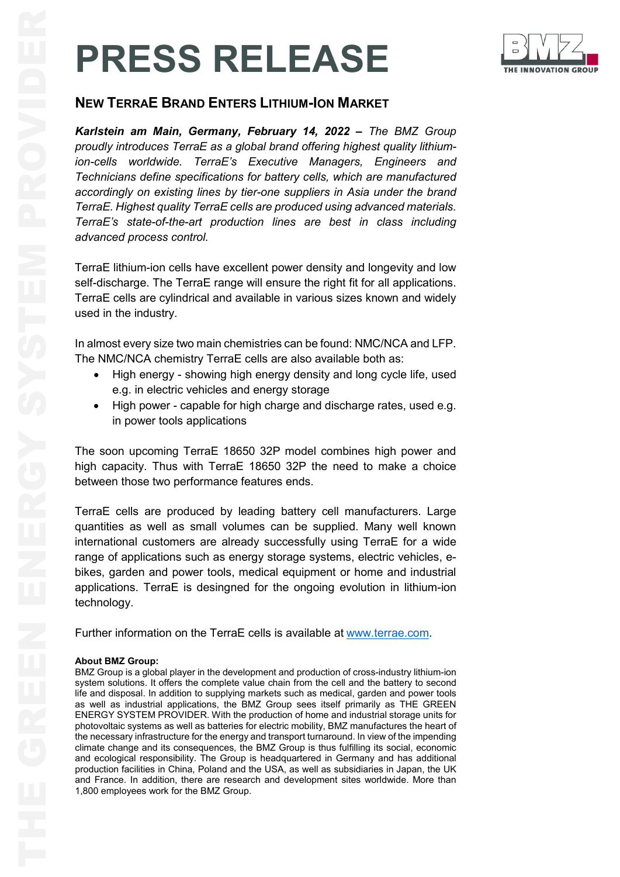## **PRESS RELEASE**



*Karlstein am Main, Germany, February 14, 2022 – The BMZ Group proudly introduces TerraE as a global brand offering highest quality lithiumion-cells worldwide. TerraE's Executive Managers, Engineers and Technicians define specifications for battery cells, which are manufactured accordingly on existing lines by tier-one suppliers in Asia under the brand TerraE. Highest quality TerraE cells are produced using advanced materials. TerraE's state-of-the-art production lines are best in class including advanced process control.*

TerraE lithium-ion cells have excellent power density and longevity and low self-discharge. The TerraE range will ensure the right fit for all applications. TerraE cells are cylindrical and available in various sizes known and widely used in the industry.

In almost every size two main chemistries can be found: NMC/NCA and LFP. The NMC/NCA chemistry TerraE cells are also available both as:

- High energy showing high energy density and long cycle life, used e.g. in electric vehicles and energy storage
- High power capable for high charge and discharge rates, used e.g. in power tools applications

The soon upcoming TerraE 18650 32P model combines high power and high capacity. Thus with TerraE 18650 32P the need to make a choice between those two performance features ends.

TerraE cells are produced by leading battery cell manufacturers. Large quantities as well as small volumes can be supplied. Many well known international customers are already successfully using TerraE for a wide range of applications such as energy storage systems, electric vehicles, ebikes, garden and power tools, medical equipment or home and industrial applications. TerraE is desingned for the ongoing evolution in lithium-ion technology.

Further information on the TerraE cells is available at [www.terrae.com.](http://www.terrae.com/)

## **About BMZ Group:**

THE GREAT STATE IS CONSIDERED TO THE MARKET SAN A STATE CONSIDERATION CONSIDER THE MARKET AND A STATE CONSIDERATION CONSIDERED TO THE MARKET CONSIDER THE MARKET CONSIDER THE CONSIDERED TO A STATE OF THE MARKET CONSIDERATIO BMZ Group is a global player in the development and production of cross-industry lithium-ion system solutions. It offers the complete value chain from the cell and the battery to second life and disposal. In addition to supplying markets such as medical, garden and power tools as well as industrial applications, the BMZ Group sees itself primarily as THE GREEN ENERGY SYSTEM PROVIDER. With the production of home and industrial storage units for photovoltaic systems as well as batteries for electric mobility, BMZ manufactures the heart of the necessary infrastructure for the energy and transport turnaround. In view of the impending climate change and its consequences, the BMZ Group is thus fulfilling its social, economic and ecological responsibility. The Group is headquartered in Germany and has additional production facilities in China, Poland and the USA, as well as subsidiaries in Japan, the UK and France. In addition, there are research and development sites worldwide. More than 1,800 employees work for the BMZ Group.